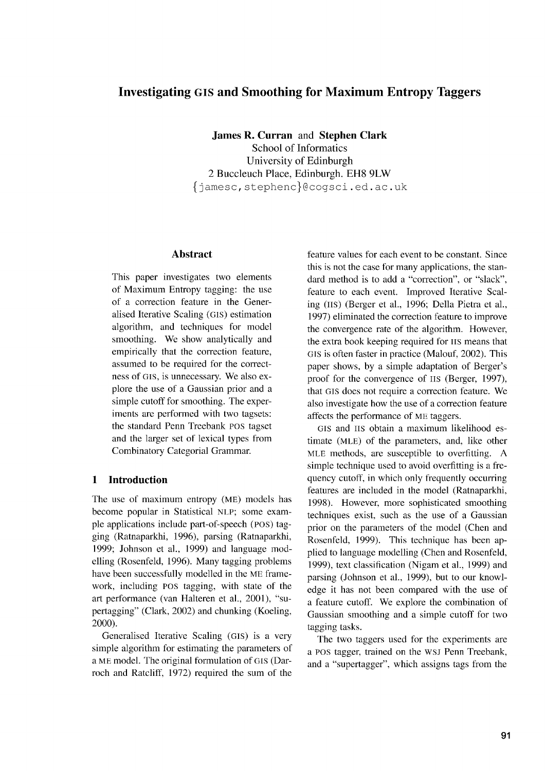# **Investigating GIS and Smoothing for Maximum Entropy Taggers**

**James R. Curran** and **Stephen Clark** School of Informatics University of Edinburgh 2 Buccleuch Place, Edinburgh. EH8 9LW fjamesc,stephencl@cogsci.ed.ac.uk

# **Abstract**

This paper investigates two elements of Maximum Entropy tagging: the use of a correction feature in the Generalised Iterative Scaling (Gis) estimation algorithm, and techniques for model smoothing. We show analytically and empirically that the correction feature, assumed to be required for the correctness of GIS, is unnecessary. We also explore the use of a Gaussian prior and a simple cutoff for smoothing. The experiments are performed with two tagsets: the standard Penn Treebank POS tagset and the larger set of lexical types from Combinatory Categorial Grammar.

# **1 Introduction**

The use of maximum entropy (ME) models has become popular in Statistical NLP; some example applications include part-of-speech (Pos) tagging (Ratnaparkhi, 1996), parsing (Ratnaparkhi, 1999; Johnson et al., 1999) and language modelling (Rosenfeld, 1996). Many tagging problems have been successfully modelled in the ME framework, including POS tagging, with state of the art performance (van Halteren et al., 2001), "supertagging" (Clark, 2002) and chunking (Koeling, 2000).

Generalised Iterative Scaling (GIs) is a very simple algorithm for estimating the parameters of a ME model. The original formulation of GIS (Darroch and Ratcliff, 1972) required the sum of the feature values for each event to be constant. Since this is not the case for many applications, the standard method is to add a "correction", or "slack", feature to each event. Improved Iterative Scaling (us) (Berger et al., 1996; Della Pietra et al., 1997) eliminated the correction feature to improve the convergence rate of the algorithm. However, the extra book keeping required for IIS means that GIS is often faster in practice (Malouf, 2002). This paper shows, by a simple adaptation of Berger's proof for the convergence of HS (Berger, 1997), that GIS does not require a correction feature. We also investigate how the use of a correction feature affects the performance of ME taggers.

GIS and HS obtain a maximum likelihood estimate (mLE) of the parameters, and, like other MLE methods, are susceptible to overfitting. A simple technique used to avoid overfitting is a frequency cutoff, in which only frequently occurring features are included in the model (Ratnaparkhi, 1998). However, more sophisticated smoothing techniques exist, such as the use of a Gaussian prior on the parameters of the model (Chen and Rosenfeld, 1999). This technique has been applied to language modelling (Chen and Rosenfeld, 1999), text classification (Nigam et al., 1999) and parsing (Johnson et al., 1999), but to our knowledge it has not been compared with the use of a feature cutoff. We explore the combination of Gaussian smoothing and a simple cutoff for two tagging tasks.

The two taggers used for the experiments are a POS tagger, trained on the WSJ Penn Treebank, and a "supertagger", which assigns tags from the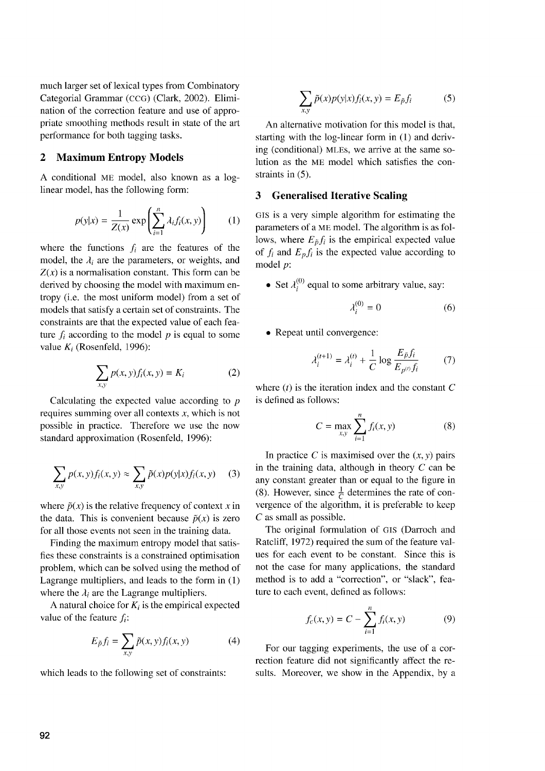much larger set of lexical types from Combinatory Categorial Grammar (ccG) (Clark, 2002). Elimination of the correction feature and use of appropriate smoothing methods result in state of the art performance for both tagging tasks.

## **2 Maximum Entropy Models**

A conditional ME model, also known as a loglinear model, has the following form:

$$
p(y|x) = \frac{1}{Z(x)} \exp\left(\sum_{i=1}^{n} \lambda_i f_i(x, y)\right) \qquad (1)
$$

where the functions  $f_i$  are the features of the model, the  $\lambda_i$  are the parameters, or weights, and  $Z(x)$  is a normalisation constant. This form can be derived by choosing the model with maximum entropy (i.e. the most uniform model) from a set of models that satisfy a certain set of constraints. The constraints are that the expected value of each feature  $f_i$  according to the model  $p$  is equal to some value *K<sub>i</sub>* (Rosenfeld, 1996): derived by choosing the model with maximum en-<br>tropy (i.e. the most uniform model) from a set of<br>models that satisfy a certain set of constraints. The<br>constraints are that the expected value of each fea-<br>ture  $f_i$  accordi

$$
\sum_{x,y} p(x,y)f_i(x,y) = K_i \tag{2}
$$

Calculating the expected value according to *p* requires summing over all contexts *x,* which is not possible in practice. Therefore we use the now standard approximation (Rosenfeld, 1996):

$$
\sum_{x,y} p(x,y)f_i(x,y) \approx \sum_{x,y} \tilde{p}(x)p(y|x)f_i(x,y) \quad (3)
$$

where  $\tilde{p}(x)$  is the relative frequency of context x in the data. This is convenient because  $\tilde{p}(x)$  is zero for all those events not seen in the training data.

Finding the maximum entropy model that satisfies these constraints is a constrained optimisation problem, which can be solved using the method of Lagrange multipliers, and leads to the form in (1) where the  $\lambda_i$  are the Lagrange multipliers.

A natural choice for  $K_i$  is the empirical expected value of the feature *fi:*

$$
E_{\tilde{p}}f_i = \sum_{x,y} \tilde{p}(x,y)f_i(x,y) \tag{4}
$$

which leads to the following set of constraints:

$$
\sum_{x,y} \tilde{p}(x)p(y|x)f_i(x,y) = E_{\tilde{p}}f_i \tag{5}
$$

An alternative motivation for this model is that, starting with the log-linear form in (1) and deriving (conditional) MLES, we arrive at the same solution as the ME model which satisfies the constraints in (5).

#### **3 Generalised Iterative Scaling**

GIS is a very simple algorithm for estimating the parameters of a ME model. The algorithm is as follows, where  $E_{\tilde{p}}f_i$  is the empirical expected value of  $f_i$  and  $E_p f_i$  is the expected value according to model *p:*

• Set  $\lambda_i^{(0)}$  equal to some arbitrary value, say:

$$
\lambda_i^{(0)} = 0 \tag{6}
$$

• Repeat until convergence:

$$
\lambda_i^{(t+1)} = \lambda_i^{(t)} + \frac{1}{C} \log \frac{E_{\tilde{p}} f_i}{E_{p^{(t)}} f_i} \tag{7}
$$

where *(t)* is the iteration index and the constant *C* is defined as follows:

$$
C = \max_{x,y} \sum_{i=1}^{n} f_i(x, y)
$$
 (8)

In practice *C* is maximised over the  $(x, y)$  pairs in the training data, although in theory *C* can be any constant greater than or equal to the figure in (8). However, since  $\frac{1}{C}$  determines the rate of convergence of the algorithm, it is preferable to keep *C* as small as possible.

The original formulation of GIS (Darroch and Ratcliff, 1972) required the sum of the feature values for each event to be constant. Since this is not the case for many applications, the standard method is to add a "correction", or "slack", feature to each event, defined as follows:

$$
f_c(x, y) = C - \sum_{i=1}^{n} f_i(x, y)
$$
 (9)

For our tagging experiments, the use of a correction feature did not significantly affect the results. Moreover, we show in the Appendix, by a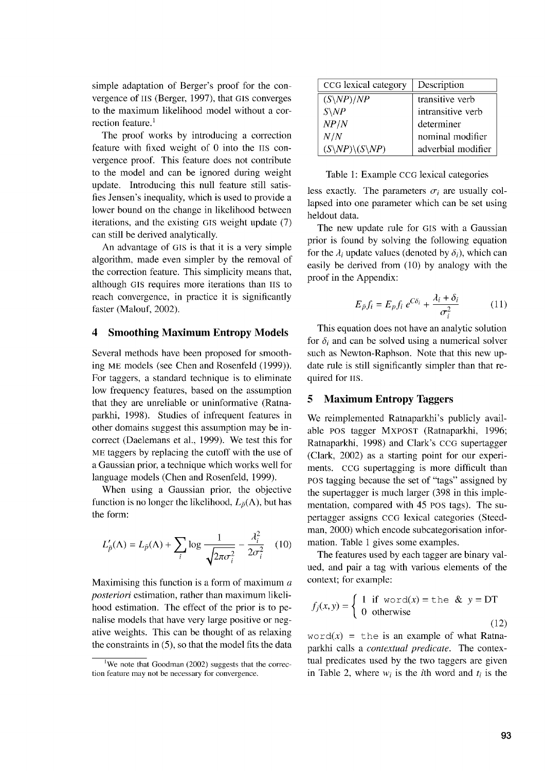simple adaptation of Berger's proof for the convergence of HS (Berger, 1997), that GIS converges to the maximum likelihood model without a correction feature. $<sup>1</sup>$ </sup>

The proof works by introducing a correction feature with fixed weight of 0 into the Hs convergence proof. This feature does not contribute to the model and can be ignored during weight update. Introducing this null feature still satisfies Jensen's inequality, which is used to provide a lower bound on the change in likelihood between iterations, and the existing GIS weight update (7) can still be derived analytically.

An advantage of GIS is that it is a very simple algorithm, made even simpler by the removal of the correction feature. This simplicity means that, although GIS requires more iterations than 11s to reach convergence, in practice it is significantly faster (Malouf, 2002).

#### **4 Smoothing Maximum Entropy Models**

Several methods have been proposed for smoothing ME models (see Chen and Rosenfeld (1999)). For taggers, a standard technique is to eliminate low frequency features, based on the assumption that they are unreliable or uninformative (Ratnaparkhi, 1998). Studies of infrequent features in other domains suggest this assumption may be incorrect (Daelemans et al., 1999). We test this for ME taggers by replacing the cutoff with the use of a Gaussian prior, a technique which works well for language models (Chen and Rosenfeld, 1999).

When using a Gaussian prior, the objective function is no longer the likelihood,  $L_{\tilde{p}}(\Lambda)$ , but has the form:

$$
L'_{\tilde{p}}(\Lambda) = L_{\tilde{p}}(\Lambda) + \sum_{i} \log \frac{1}{\sqrt{2\pi\sigma_i^2}} - \frac{\lambda_i^2}{2\sigma_i^2} \quad (10)
$$

Maximising this function is a form of maximum *a posteriori* estimation, rather than maximum likelihood estimation. The effect of the prior is to penalise models that have very large positive or negative weights. This can be thought of as relaxing the constraints in (5), so that the model fits the data

| CCG lexical category                       | Description        |
|--------------------------------------------|--------------------|
| $(S\backslash NP)/NP$                      | transitive verb    |
| $S\backslash NP$                           | intransitive verb  |
| NP/N                                       | determiner         |
| N/N                                        | nominal modifier   |
| $(S\setminus NP)\setminus (S\setminus NP)$ | adverbial modifier |

Table 1: Example CCG lexical categories

less exactly. The parameters  $\sigma_i$  are usually collapsed into one parameter which can be set using heldout data.

The new update rule for GIS with a Gaussian prior is found by solving the following equation for the  $\lambda_i$  update values (denoted by  $\delta_i$ ), which can easily be derived from (10) by analogy with the proof in the Appendix:

$$
E_{\tilde{p}}f_i = E_p f_i e^{C\delta_i} + \frac{\lambda_i + \delta_i}{\sigma_i^2}
$$
 (11)

This equation does not have an analytic solution for  $\delta_i$  and can be solved using a numerical solver such as Newton-Raphson. Note that this new update rule is still significantly simpler than that required for 11s.

## **5 Maximum Entropy Taggers**

We reimplemented Ratnaparkhi's publicly available POS tagger MXPOST (Ratnaparkhi, 1996; Ratnaparkhi, 1998) and Clark's CCG supertagger (Clark, 2002) as a starting point for our experiments. CCG supertagging is more difficult than POS tagging because the set of "tags" assigned by the supertagger is much larger (398 in this implementation, compared with 45 POS tags). The supertagger assigns CCG lexical categories (Steedman, 2000) which encode subcategorisation information. Table 1 gives some examples.

The features used by each tagger are binary valued, and pair a tag with various elements of the context; for example:

$$
f_j(x, y) = \begin{cases} 1 & \text{if word}(x) = \text{the } \& y = \text{DT} \\ 0 & \text{otherwise} \end{cases}
$$
\n
$$
(12)
$$

 $word(x) = the$  is an example of what Ratnaparkhi calls a *contextual predicate.* The contextual predicates used by the two taggers are given in Table 2, where  $w_i$  is the *i*th word and  $t_i$  is the

We note that Goodman (2002) suggests that the correction feature may not be necessary for convergence.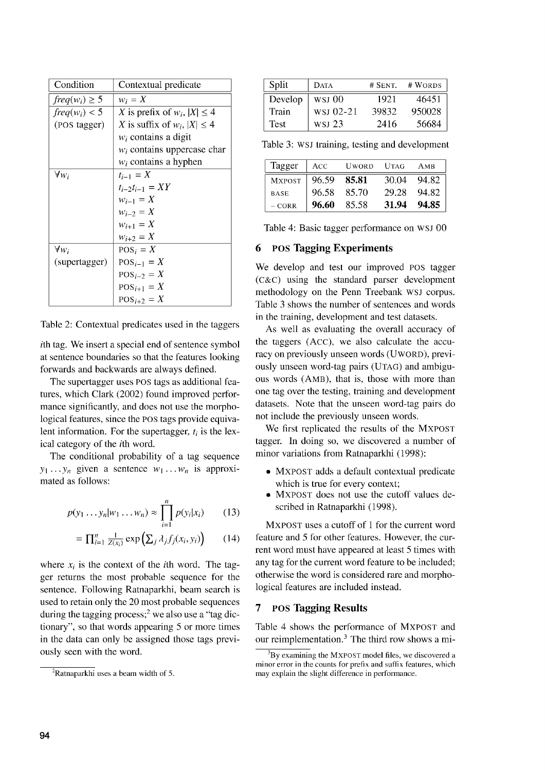| Condition          | Contextual predicate                |
|--------------------|-------------------------------------|
| $freq(w_i) \geq 5$ | $w_i = X$                           |
| $freq(w_i) < 5$    | X is prefix of $w_i$ , $ X  \leq 4$ |
| (POS tagger)       | X is suffix of $w_i$ , $ X  \leq 4$ |
|                    | $w_i$ contains a digit              |
|                    | $w_i$ contains uppercase char       |
|                    | $w_i$ contains a hyphen             |
| $\forall w_i$      | $t_{i-1} = X$                       |
|                    | $t_{i-2}t_{i-1} = XY$               |
|                    | $w_{i-1} = X$                       |
|                    | $w_{i-2} = X$                       |
|                    | $w_{i+1} = X$                       |
|                    | $w_{i+2} = X$                       |
| $\forall w_i$      | $POSi = X$                          |
| (supertagger)      | $POS_{i-1}=X$                       |
|                    | $POS_{i-2}=X$                       |
|                    | $POS_{i+1} = X$                     |
|                    | $POS_{i+2} = X$                     |

Table 2: Contextual predicates used in the taggers

ith tag. We insert a special end of sentence symbol at sentence boundaries so that the features looking forwards and backwards are always defined.

The supertagger uses POS tags as additional features, which Clark (2002) found improved performance significantly, and does not use the morphological features, since the POS tags provide equivalent information. For the supertagger, *t,* is the lexical category of the ith word.

The conditional probability of a tag sequence  $y_1 \ldots y_n$  given a sentence  $w_1 \ldots w_n$  is approximated as follows:

$$
p(y_1 \ldots y_n | w_1 \ldots w_n) \approx \prod_{i=1}^n p(y_i | x_i)
$$
 (13)

$$
= \prod_{i=1}^{n} \frac{1}{Z(x_i)} \exp\left(\sum_j \lambda_j f_j(x_i, y_i)\right) \qquad (14)
$$

where  $x_i$  is the context of the *i*th word. The tagger returns the most probable sequence for the sentence. Following Ratnaparkhi, beam search is used to retain only the 20 most probable sequences during the tagging process;<sup>2</sup> we also use a "tag dictionary", so that words appearing 5 or more times in the data can only be assigned those tags previously seen with the word.

| Split   | <b>DATA</b> | $#$ SENT. | # WORDS |
|---------|-------------|-----------|---------|
| Develop | WSI 00      | 1921      | 46451   |
| Train   | WSJ 02-21   | 39832     | 950028  |
| Test    | wsi 23      | 2416      | 56684   |

Table 3: WSJ training, testing and development

| Tagger        | ACC   | <b>UWORD</b> | UTAG  | AMB   |
|---------------|-------|--------------|-------|-------|
| <b>MXPOST</b> | 96.59 | -85.81       | 30.04 | 94.82 |
| <b>BASE</b>   | 96.58 | -85.70       | 29.28 | 94.82 |
| $-$ CORR      | 96.60 | 85.58        | 31.94 | 94.85 |

Table 4: Basic tagger performance on WSJ 00

#### 6 POS Tagging Experiments

We develop and test our improved POS tagger  $(C & C)$  using the standard parser development methodology on the Penn Treebank WSJ corpus. Table 3 shows the number of sentences and words in the training, development and test datasets.

As well as evaluating the overall accuracy of the taggers (Acc), we also calculate the accuracy on previously unseen words (UwoRD), previously unseen word-tag pairs (UTAG) and ambiguous words (AmB), that is, those with more than one tag over the testing, training and development datasets. Note that the unseen word-tag pairs do not include the previously unseen words.

We first replicated the results of the MXPOST tagger. In doing so, we discovered a number of minor variations from Ratnaparkhi (1998):

- MXPOST adds a default contextual predicate which is true for every context;
- MXPOST does not use the cutoff values described in Ratnaparkhi (1998).

MXPOST uses a cutoff of 1 for the current word feature and 5 for other features. However, the current word must have appeared at least 5 times with any tag for the current word feature to be included; otherwise the word is considered rare and morphological features are included instead.

## 7 POS Tagging Results

Table 4 shows the performance of MXPOST and our reimplementation.<sup>3</sup> The third row shows a mi-

 ${}^{2}$ Ratnaparkhi uses a beam width of 5.

 $3By$  examining the MXPOST model files, we discovered a minor error in the counts for prefix and suffix features, which may explain the slight difference in performance.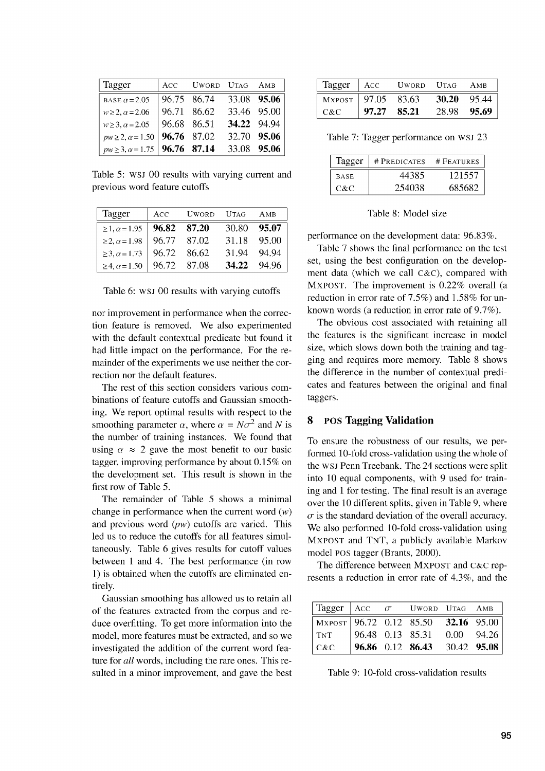| Tagger                                |                  | ACC UWORD UTAG AMB |             |             |
|---------------------------------------|------------------|--------------------|-------------|-------------|
| BASE $\alpha$ = 2.05                  | $ 96.75 \t86.74$ |                    |             | 33.08 95.06 |
| $w \ge 2, \alpha = 2.06$              | $96.71$ 86.62    |                    | 33.46 95.00 |             |
| $w \ge 3, \alpha = 2.05$              | 96.68 86.51      |                    | 34.22 94.94 |             |
| $pw \ge 2, \alpha = 1.50$             | $96.76$ 87.02    |                    |             | 32.70 95.06 |
| $pw \ge 3, \alpha = 1.75$ 96.76 87.14 |                  |                    | 33.08 95.06 |             |

Table 5: WSJ 00 results with varying current and previous word feature cutoffs

| Tagger                                  | $ $ Acc | UWORD UTAG |             | AMB         |
|-----------------------------------------|---------|------------|-------------|-------------|
| $\geq 1, \alpha = 1.95$   96.82 87.20   |         |            | 30.80 95.07 |             |
| ≥2, $\alpha$ =1.98   96.77 87.02        |         |            |             | 31.18 95.00 |
| $\geq$ 3, $\alpha$ = 1.73   96.72 86.62 |         |            | 31.94 94.94 |             |
| $\geq 4, \alpha = 1.50$   96.72 87.08   |         |            | 34.22 94.96 |             |

Table 6: WSJ 00 results with varying cutoffs

nor improvement in performance when the correction feature is removed. We also experimented with the default contextual predicate but found it had little impact on the performance. For the remainder of the experiments we use neither the correction nor the default features.

The rest of this section considers various combinations of feature cutoffs and Gaussian smoothing. We report optimal results with respect to the smoothing parameter  $\alpha$ , where  $\alpha = N\sigma^2$  and N is the number of training instances. We found that<br>using  $\alpha \approx 2$  gave the most benefit to our basic tagger, improving performance by about 0.15% on the development set. This result is shown in the first row of Table 5.

The remainder of Table 5 shows a minimal change in performance when the current word  $(w)$ and previous word  $(pw)$  cutoffs are varied. This led us to reduce the cutoffs for all features simultaneously. Table 6 gives results for cutoff values between 1 and 4. The best performance (in row 1) is obtained when the cutoffs are eliminated entirely.

Gaussian smoothing has allowed us to retain all of the features extracted from the corpus and reduce overfitting. To get more information into the model, more features must be extracted, and so we investigated the addition of the current word feature for *all* words, including the rare ones. This resulted in a minor improvement, and gave the best

| Tagger         | $ $ Acc | UWORD   | - UTAG | AMB    |
|----------------|---------|---------|--------|--------|
| MXPOST   97.05 |         | - 83.63 | 30.20  | -95.44 |
| - C&C          | 97.27   | 85.21   | 28.98  | -95.69 |

Table 7: Tagger performance on WSJ 23

| Tagger      | # PREDICATES | # FEATURES |
|-------------|--------------|------------|
| <b>BASE</b> | 44385        | 121557     |
| C&C.        | 254038       | 685682     |

Table 8: Model size

performance on the development data: 96.83%.

Table 7 shows the final performance on the test set, using the best configuration on the development data (which we call c&c), compared with MXPOST. The improvement is 0.22% overall (a reduction in error rate of 7.5%) and 1.58% for unknown words (a reduction in error rate of 9.7%).

The obvious cost associated with retaining all the features is the significant increase in model size, which slows down both the training and tagging and requires more memory. Table 8 shows the difference in the number of contextual predicates and features between the original and final taggers.

## 8 POS Tagging Validation

To ensure the robustness of our results, we performed 10-fold cross-validation using the whole of the WSJ Penn Treebank. The 24 sections were split into 10 equal components, with 9 used for training and 1 for testing. The final result is an average over the 10 different splits, given in Table 9, where  $\sigma$  is the standard deviation of the overall accuracy. We also performed 10-fold cross-validation using MXPOST and TNT, a publicly available Markov model POS tagger (Brants, 2000).

The difference between MXPOST and c&c represents a reduction in error rate of 4.3%, and the

| Tagger $\begin{vmatrix} Acc & \sigma \\ WORD & U \end{vmatrix}$ TAG AMB |  |                                |  |
|-------------------------------------------------------------------------|--|--------------------------------|--|
| $\sqrt{\text{Mxpostr} \cdot 96.72 \cdot 0.12}$ 85.50 32.16 95.00        |  |                                |  |
| $\vert$ TNT                                                             |  | $96.48$ 0.13 85.31 0.00 94.26  |  |
| $ c\&c$                                                                 |  | $96.86$ 0.12 86.43 30.42 95.08 |  |

Table 9: 10-fold cross-validation results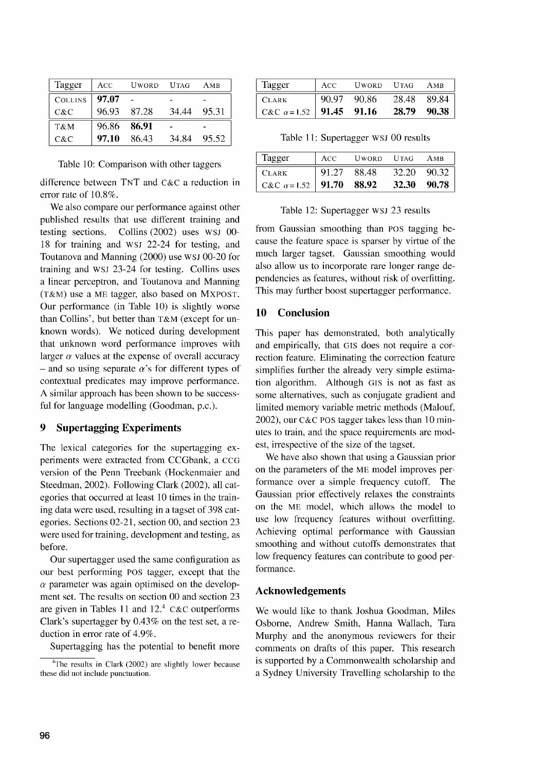| Tagger         | ACC         | UWORD  | UTAG  | AMB   |
|----------------|-------------|--------|-------|-------|
| <b>COLLINS</b> | -97.07      |        |       |       |
| $C\&C$         | 96.93       | 87.28  | 34.44 | 95.31 |
| T&M            | 96.86 86.91 |        |       |       |
| C&C            | 97.10       | -86.43 | 34.84 | 95.52 |

Table 10: Comparison with other taggers

difference between TNT and c&c a reduction in error rate of 10.8%.

We also compare our performance against other published results that use different training and testing sections. Collins (2002) uses WSJ 00- 18 for training and WSJ 22-24 for testing, and Toutanova and Manning (2000) use WSJ 00-20 for training and WSJ 23-24 for testing. Collins uses a linear perceptron, and Toutanova and Manning (T&A4) use a ME tagger, also based on MXPOST. Our performance (in Table 10) is slightly worse than Collins', but better than T&M (except for unknown words). We noticed during development that unknown word performance improves with larger  $\alpha$  values at the expense of overall accuracy - and so using separate  $\alpha$ 's for different types of contextual predicates may improve performance. A similar approach has been shown to be successful for language modelling (Goodman, p.c.).

# 9 Supertagging Experiments

The lexical categories for the supertagging experiments were extracted from CCGbank, a CCG version of the Penn Treebank (Hockenmaier and Steedman, 2002). Following Clark (2002), all categories that occurred at least 10 times in the training data were used, resulting in a tagset of 398 categories. Sections 02-21, section 00, and section 23 were used for training, development and testing, as before.

Our supertagger used the same configuration as our best performing POS tagger, except that the  $\alpha$  parameter was again optimised on the development set. The results on section 00 and section 23 are given in Tables 11 and  $12<sup>4</sup>$  C&C outperforms Clark's supertagger by 0.43% on the test set, a reduction in error rate of 4.9%.

Supertagging has the potential to benefit more

| Tagger                                  | ACC | UWORD UTAG  |       | AMB   |
|-----------------------------------------|-----|-------------|-------|-------|
| <b>CLARK</b>                            |     | 90.97 90.86 | 28.48 | 89.84 |
| C&C $\alpha$ =1.52   <b>91.45</b> 91.16 |     |             | 28.79 | 90.38 |

Table 11: Supertagger WSJ 00 results

| Tagger                           | ACC   | UWORD UTAG |              | AMB     |
|----------------------------------|-------|------------|--------------|---------|
| <b>CLARK</b>                     | 91.27 | 88.48      | 32.20        | - 90.32 |
| C&C $\alpha$ =1.52   91.70 88.92 |       |            | <b>32.30</b> | 90.78   |

#### Table 12: Supertagger WSJ 23 results

from Gaussian smoothing than POS tagging because the feature space is sparser by virtue of the much larger tagset. Gaussian smoothing would also allow us to incorporate rare longer range dependencies as features, without risk of overfitting. This may further boost supertagger performance.

# 10 Conclusion

This paper has demonstrated, both analytically and empirically, that GIS does not require a correction feature. Eliminating the correction feature simplifies further the already very simple estimation algorithm. Although GIS is not as fast as some alternatives, such as conjugate gradient and limited memory variable metric methods (Malouf, 2002), our C&C POS tagger takes less than 10 minutes to train, and the space requirements are modest, irrespective of the size of the tagset.

We have also shown that using a Gaussian prior on the parameters of the ME model improves performance over a simple frequency cutoff. The Gaussian prior effectively relaxes the constraints on the ME model, which allows the model to use low frequency features without overfitting. Achieving optimal performance with Gaussian smoothing and without cutoffs demonstrates that low frequency features can contribute to good performance.

#### Acknowledgements

We would like to thank Joshua Goodman, Miles Osborne, Andrew Smith, Hanna Wallach, Tara Murphy and the anonymous reviewers for their comments on drafts of this paper. This research is supported by a Commonwealth scholarship and a Sydney University Travelling scholarship to the

<sup>&</sup>lt;sup>4</sup>The results in Clark (2002) are slightly lower because these did not include punctuation.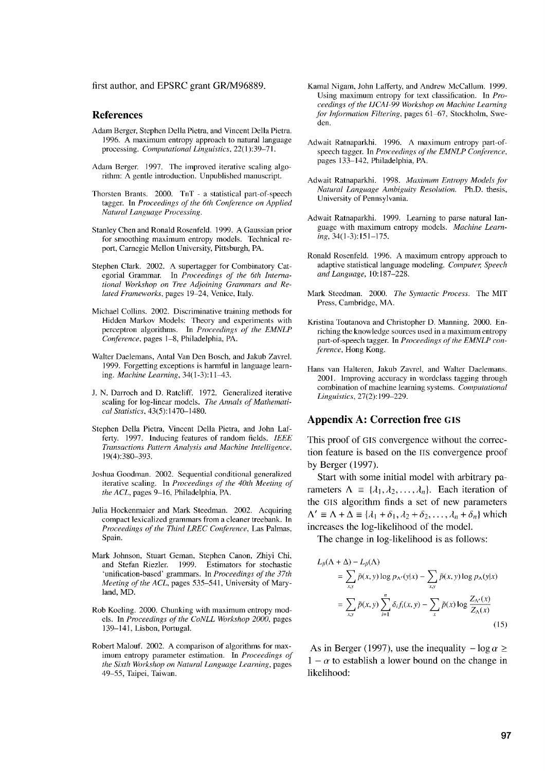first author, and EPSRC grant GR/M96889.

#### **References**

- Adam Berger, Stephen Della Pietra, and Vincent Della Pietra. 1996. A maximum entropy approach to natural language *processing. Computational Linguistics,* 22(1 ):39-7 1.
- Adam Berger. 1997. The improved iterative scaling algorithm: A gentle introduction. Unpublished manuscript.
- Thorsten Brants. 2000. TnT a statistical part-of-speech *tagger. In Proceedings of the 6th Conference on Applied Natural Language Processing.*
- Stanley Chen and Ronald Rosenfeld. 1999. A Gaussian prior for smoothing maximum entropy models. Technical report, Carnegie Mellon University, Pittsburgh, PA.
- Stephen Clark. 2002. A supertagger for Combinatory Cat*egorial Grammar. In Proceedings of the 6th International Workshop on Tree Adjoining Grammars and Re*lated *Frameworks,* pages 19-24, Venice, Italy.
- Michael Collins. 2002. Discriminative training methods for Hidden Markov Models: Theory and experiments with perceptron algorithms. In *Proceedings of the EMNLP Conference,* pages 1-8, Philadelphia, PA.
- Walter Daelemans, Antal Van Den Bosch, and Jakub Zavrel. 1999. Forgetting exceptions is harmful in language learning. *Machine Learning,* 34(1-3): 11-43.
- J. N. Darroch and D. Ratcliff. 1972. Generalized iterative scaling for log-linear models. *The Annals of Mathematical Statistics,* 43(5):1470-1480.
- Stephen Della Pietra, Vincent Della Pietra, and John Lafferty. 1997. Inducing features of random fields. *IEEE Transactions Pattern Analysis and Machine Intelligence,* I 9(4):380-393.
- Joshua Goodman. 2002. Sequential conditional generalized *iterative scaling. In Proceedings of the 40th Meeting of* the ACL, pages 9-16, Philadelphia, PA.
- Julia Hockenmaier and Mark Steedman. 2002. Acquiring compact lexicalized grammars from a cleaner treebank. In *Proceedings of the Third LREC Conference,* Las Palmas, Spain.
- Mark Johnson, Stuart Geman, Stephen Canon, Zhiyi Chi, and Stefan Riezler. 1999. Estimators for stochastic 'unification-based' grammars. In *Proceedings of the 37th Meeting of the ACL,* pages 535-541, University of Maryland, MD.
- Rob Koeling. 2000. Chunking with maximum entropy mod*els. In Proceedings of the CoNLL Workshop 2000,* pages 139-141, Lisbon, Portugal.
- Robert Malouf. 2002. A comparison of algorithms for maximum entropy parameter estimation. In *Proceedings of the Sixth Workshop on Natural Language Learning,* pages 49-55, Taipei, Taiwan.
- Kamal Nigam, John Lafferty, and Andrew McCallum. 1999. Using maximum entropy for text classification. In *Proceedings of the IJCAI-99 Workshop on Machine Learning for Information Filtering,* pages 61-67, Stockholm, Sweden.
- Adwait Ratnaparkhi. 1996. A maximum entropy part-of*speech tagger. In Proceedings of the EMNLP Conference,* pages 133-142, Philadelphia, PA.
- Adwait Ratnaparkhi. 1998. *Maximum Entropy Models for Natural Language Ambiguity Resolution.* Ph.D. thesis, University of Pennsylvania.
- Adwait Ratnaparkhi. 1999. Learning to parse natural language with maximum entropy models. *Machine Learning,* 34(l-3):l51-175.
- Ronald Rosenfeld. 1996. A maximum entropy approach to adaptive statistical language modeling. *Computer*, Speech *and Language,* 10:187-228.
- Mark Steedman. 2000. *The Syntactic Process.* The MIT Press, Cambridge, MA.
- Kristina Toutanova and Christopher D. Manning. 2000. Enriching the knowledge sources used in a maximum entropy *part-of-speech tagger. In Proceedings of the EMNLP conference,* Hong Kong.
- Hans van Halteren, Jakub Zavrel, and Walter Daelemans. 2001. lmproving accuracy in wordclass tagging through combination of machine learning systems. *Computational* Linguistics, 27(2): 199-229.

#### **Appendix A: Correction free GIS**

This proof of GIS convergence without the correction feature is based on the ITS convergence proof by Berger (1997).

Start with some initial model with arbitrary parameters  $\Lambda = {\lambda_1, \lambda_2, ..., \lambda_n}$ . Each iteration of the GIS algorithm finds a set of new parameters  $\Lambda' \equiv \Lambda + \Delta \equiv {\lambda_1 + \delta_1, \lambda_2 + \delta_2, \ldots, \lambda_n + \delta_n}$  which increases the log-likelihood of the model.

The change in log-likelihood is as follows:

$$
L_{\tilde{p}}(\Lambda + \Delta) - L_{\tilde{p}}(\Lambda)
$$
  
= 
$$
\sum_{x,y} \tilde{p}(x,y) \log p_{\Lambda'}(y|x) - \sum_{x,y} \tilde{p}(x,y) \log p_{\Lambda}(y|x)
$$
  
= 
$$
\sum_{x,y} \tilde{p}(x,y) \sum_{i=1}^{n} \delta_{i} f_{i}(x,y) - \sum_{x} \tilde{p}(x) \log \frac{Z_{\Lambda'}(x)}{Z_{\Lambda}(x)}
$$
(15)

As in Berger (1997), use the inequality  $-\log \alpha \ge$  $1 - \alpha$  to establish a lower bound on the change in likelihood: